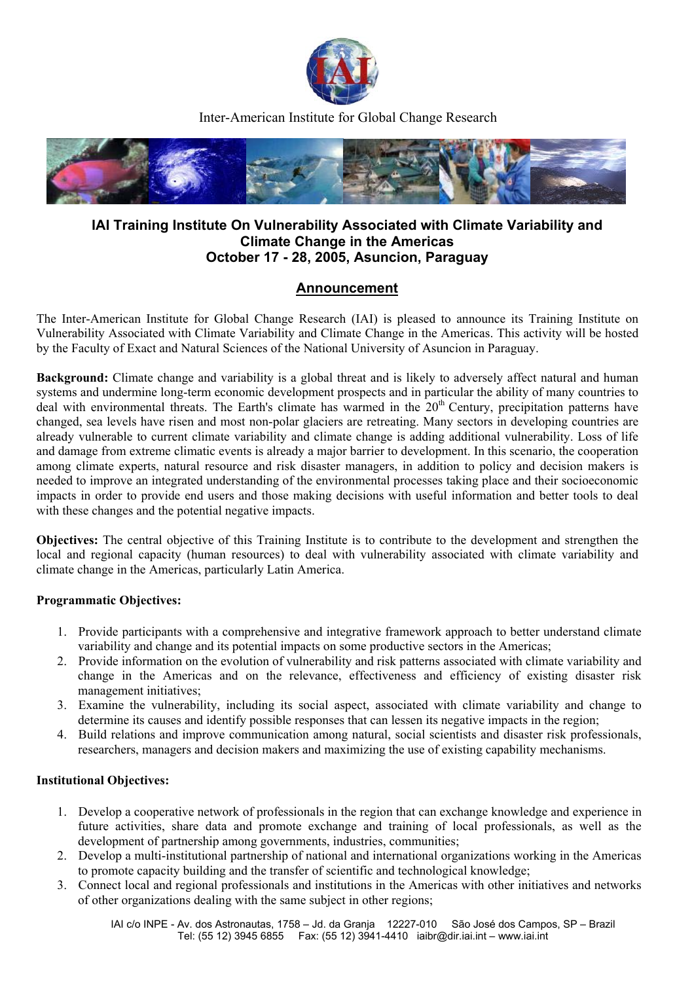

Inter-American Institute for Global Change Research



# **IAI Training Institute On Vulnerability Associated with Climate Variability and Climate Change in the Americas October 17 - 28, 2005, Asuncion, Paraguay**

## **Announcement**

The Inter-American Institute for Global Change Research (IAI) is pleased to announce its Training Institute on Vulnerability Associated with Climate Variability and Climate Change in the Americas. This activity will be hosted by the Faculty of Exact and Natural Sciences of the National University of Asuncion in Paraguay.

**Background:** Climate change and variability is a global threat and is likely to adversely affect natural and human systems and undermine long-term economic development prospects and in particular the ability of many countries to deal with environmental threats. The Earth's climate has warmed in the 20<sup>th</sup> Century, precipitation patterns have changed, sea levels have risen and most non-polar glaciers are retreating. Many sectors in developing countries are already vulnerable to current climate variability and climate change is adding additional vulnerability. Loss of life and damage from extreme climatic events is already a major barrier to development. In this scenario, the cooperation among climate experts, natural resource and risk disaster managers, in addition to policy and decision makers is needed to improve an integrated understanding of the environmental processes taking place and their socioeconomic impacts in order to provide end users and those making decisions with useful information and better tools to deal with these changes and the potential negative impacts.

**Objectives:** The central objective of this Training Institute is to contribute to the development and strengthen the local and regional capacity (human resources) to deal with vulnerability associated with climate variability and climate change in the Americas, particularly Latin America.

## **Programmatic Objectives:**

- 1. Provide participants with a comprehensive and integrative framework approach to better understand climate variability and change and its potential impacts on some productive sectors in the Americas;
- 2. Provide information on the evolution of vulnerability and risk patterns associated with climate variability and change in the Americas and on the relevance, effectiveness and efficiency of existing disaster risk management initiatives;
- 3. Examine the vulnerability, including its social aspect, associated with climate variability and change to determine its causes and identify possible responses that can lessen its negative impacts in the region;
- 4. Build relations and improve communication among natural, social scientists and disaster risk professionals, researchers, managers and decision makers and maximizing the use of existing capability mechanisms.

#### **Institutional Objectives:**

- 1. Develop a cooperative network of professionals in the region that can exchange knowledge and experience in future activities, share data and promote exchange and training of local professionals, as well as the development of partnership among governments, industries, communities;
- 2. Develop a multi-institutional partnership of national and international organizations working in the Americas to promote capacity building and the transfer of scientific and technological knowledge;
- 3. Connect local and regional professionals and institutions in the Americas with other initiatives and networks of other organizations dealing with the same subject in other regions;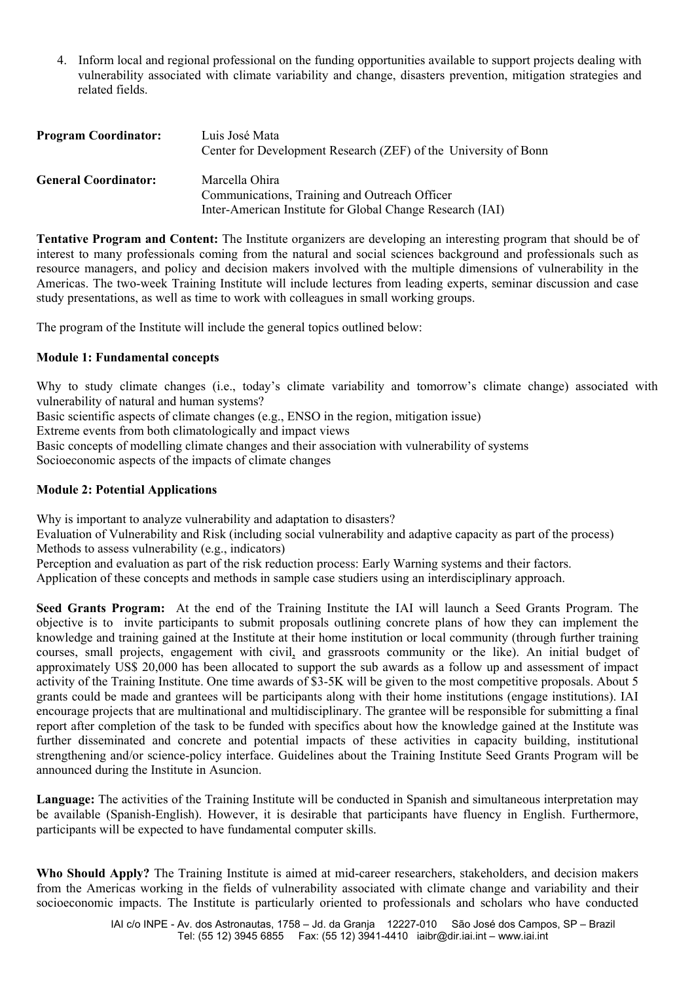4. Inform local and regional professional on the funding opportunities available to support projects dealing with vulnerability associated with climate variability and change, disasters prevention, mitigation strategies and related fields.

| <b>Program Coordinator:</b> | Luis José Mata<br>Center for Development Research (ZEF) of the University of Bonn |
|-----------------------------|-----------------------------------------------------------------------------------|
| <b>General Coordinator:</b> | Marcella Ohira<br>Communications, Training and Outreach Officer                   |
|                             | Inter-American Institute for Global Change Research (IAI)                         |

**Tentative Program and Content:** The Institute organizers are developing an interesting program that should be of interest to many professionals coming from the natural and social sciences background and professionals such as resource managers, and policy and decision makers involved with the multiple dimensions of vulnerability in the Americas. The two-week Training Institute will include lectures from leading experts, seminar discussion and case study presentations, as well as time to work with colleagues in small working groups.

The program of the Institute will include the general topics outlined below:

### **Module 1: Fundamental concepts**

Why to study climate changes (i.e., today's climate variability and tomorrow's climate change) associated with vulnerability of natural and human systems?

Basic scientific aspects of climate changes (e.g., ENSO in the region, mitigation issue)

Extreme events from both climatologically and impact views

Basic concepts of modelling climate changes and their association with vulnerability of systems

Socioeconomic aspects of the impacts of climate changes

#### **Module 2: Potential Applications**

Why is important to analyze vulnerability and adaptation to disasters?

Evaluation of Vulnerability and Risk (including social vulnerability and adaptive capacity as part of the process) Methods to assess vulnerability (e.g., indicators)

Perception and evaluation as part of the risk reduction process: Early Warning systems and their factors.

Application of these concepts and methods in sample case studiers using an interdisciplinary approach.

**Seed Grants Program:** At the end of the Training Institute the IAI will launch a Seed Grants Program. The objective is to invite participants to submit proposals outlining concrete plans of how they can implement the knowledge and training gained at the Institute at their home institution or local community (through further training courses, small projects, engagement with civil, and grassroots community or the like). An initial budget of approximately US\$ 20,000 has been allocated to support the sub awards as a follow up and assessment of impact activity of the Training Institute. One time awards of \$3-5K will be given to the most competitive proposals. About 5 grants could be made and grantees will be participants along with their home institutions (engage institutions). IAI encourage projects that are multinational and multidisciplinary. The grantee will be responsible for submitting a final report after completion of the task to be funded with specifics about how the knowledge gained at the Institute was further disseminated and concrete and potential impacts of these activities in capacity building, institutional strengthening and/or science-policy interface. Guidelines about the Training Institute Seed Grants Program will be announced during the Institute in Asuncion.

**Language:** The activities of the Training Institute will be conducted in Spanish and simultaneous interpretation may be available (Spanish-English). However, it is desirable that participants have fluency in English. Furthermore, participants will be expected to have fundamental computer skills.

**Who Should Apply?** The Training Institute is aimed at mid-career researchers, stakeholders, and decision makers from the Americas working in the fields of vulnerability associated with climate change and variability and their socioeconomic impacts. The Institute is particularly oriented to professionals and scholars who have conducted